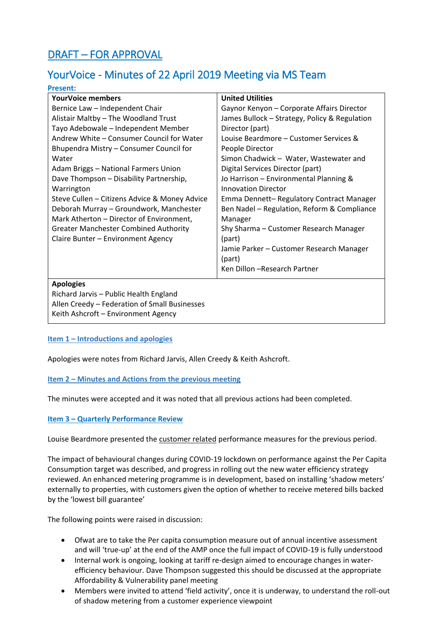# DRAFT – FOR APPROVAL

**Present:** 

## YourVoice - Minutes of 22 April 2019 Meeting via MS Team

| FI CSCIIL.                                    |                                               |
|-----------------------------------------------|-----------------------------------------------|
| <b>YourVoice members</b>                      | <b>United Utilities</b>                       |
| Bernice Law - Independent Chair               | Gaynor Kenyon - Corporate Affairs Director    |
| Alistair Maltby - The Woodland Trust          | James Bullock - Strategy, Policy & Regulation |
| Tayo Adebowale - Independent Member           | Director (part)                               |
| Andrew White – Consumer Council for Water     | Louise Beardmore - Customer Services &        |
| Bhupendra Mistry - Consumer Council for       | People Director                               |
| Water                                         | Simon Chadwick - Water, Wastewater and        |
| Adam Briggs - National Farmers Union          | Digital Services Director (part)              |
| Dave Thompson - Disability Partnership,       | Jo Harrison - Environmental Planning &        |
| Warrington                                    | <b>Innovation Director</b>                    |
| Steve Cullen - Citizens Advice & Money Advice | Emma Dennett-Regulatory Contract Manager      |
| Deborah Murray - Groundwork, Manchester       | Ben Nadel - Regulation, Reform & Compliance   |
| Mark Atherton - Director of Environment,      | Manager                                       |
| <b>Greater Manchester Combined Authority</b>  | Shy Sharma - Customer Research Manager        |
| Claire Bunter - Environment Agency            | (part)                                        |
|                                               | Jamie Parker - Customer Research Manager      |
|                                               | (part)                                        |
|                                               | Ken Dillon - Research Partner                 |
| <b>Apologies</b>                              |                                               |
| Richard Jarvis - Public Health England        |                                               |
| Allen Creedy - Federation of Small Businesses |                                               |
| Keith Ashcroft - Environment Agency           |                                               |
|                                               |                                               |

#### **Item 1 – Introductions and apologies**

Apologies were notes from Richard Jarvis, Allen Creedy & Keith Ashcroft.

#### **Item 2 – Minutes and Actions from the previous meeting**

The minutes were accepted and it was noted that all previous actions had been completed.

#### **Item 3 – Quarterly Performance Review**

Louise Beardmore presented the customer related performance measures for the previous period.

The impact of behavioural changes during COVID-19 lockdown on performance against the Per Capita Consumption target was described, and progress in rolling out the new water efficiency strategy reviewed. An enhanced metering programme is in development, based on installing 'shadow meters' externally to properties, with customers given the option of whether to receive metered bills backed by the 'lowest bill guarantee'

The following points were raised in discussion:

- Ofwat are to take the Per capita consumption measure out of annual incentive assessment and will 'true-up' at the end of the AMP once the full impact of COVID-19 is fully understood
- Internal work is ongoing, looking at tariff re-design aimed to encourage changes in waterefficiency behaviour. Dave Thompson suggested this should be discussed at the appropriate Affordability & Vulnerability panel meeting
- Members were invited to attend 'field activity', once it is underway, to understand the roll-out of shadow metering from a customer experience viewpoint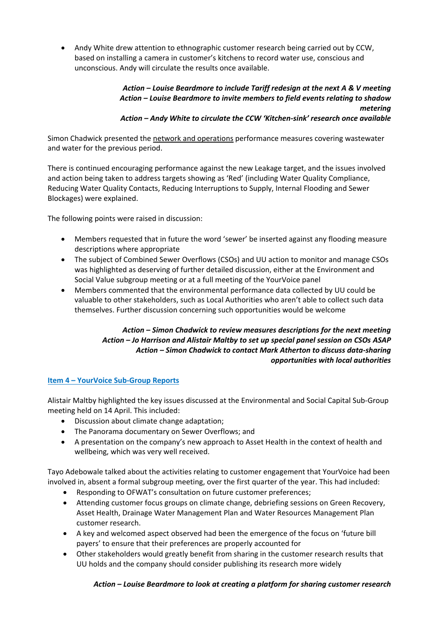Andy White drew attention to ethnographic customer research being carried out by CCW, based on installing a camera in customer's kitchens to record water use, conscious and unconscious. Andy will circulate the results once available.

## *Action – Louise Beardmore to include Tariff redesign at the next A & V meeting Action – Louise Beardmore to invite members to field events relating to shadow metering Action – Andy White to circulate the CCW 'Kitchen-sink' research once available*

Simon Chadwick presented the network and operations performance measures covering wastewater and water for the previous period.

There is continued encouraging performance against the new Leakage target, and the issues involved and action being taken to address targets showing as 'Red' (including Water Quality Compliance, Reducing Water Quality Contacts, Reducing Interruptions to Supply, Internal Flooding and Sewer Blockages) were explained.

The following points were raised in discussion:

- Members requested that in future the word 'sewer' be inserted against any flooding measure descriptions where appropriate
- The subject of Combined Sewer Overflows (CSOs) and UU action to monitor and manage CSOs was highlighted as deserving of further detailed discussion, either at the Environment and Social Value subgroup meeting or at a full meeting of the YourVoice panel
- Members commented that the environmental performance data collected by UU could be valuable to other stakeholders, such as Local Authorities who aren't able to collect such data themselves. Further discussion concerning such opportunities would be welcome

## *Action – Simon Chadwick to review measures descriptions for the next meeting Action – Jo Harrison and Alistair Maltby to set up special panel session on CSOs ASAP Action – Simon Chadwick to contact Mark Atherton to discuss data-sharing opportunities with local authorities*

## **Item 4 – YourVoice Sub-Group Reports**

Alistair Maltby highlighted the key issues discussed at the Environmental and Social Capital Sub-Group meeting held on 14 April. This included:

- Discussion about climate change adaptation;
- The Panorama documentary on Sewer Overflows; and
- A presentation on the company's new approach to Asset Health in the context of health and wellbeing, which was very well received.

Tayo Adebowale talked about the activities relating to customer engagement that YourVoice had been involved in, absent a formal subgroup meeting, over the first quarter of the year. This had included:

- Responding to OFWAT's consultation on future customer preferences;
- Attending customer focus groups on climate change, debriefing sessions on Green Recovery, Asset Health, Drainage Water Management Plan and Water Resources Management Plan customer research.
- A key and welcomed aspect observed had been the emergence of the focus on 'future bill payers' to ensure that their preferences are properly accounted for
- Other stakeholders would greatly benefit from sharing in the customer research results that UU holds and the company should consider publishing its research more widely

## *Action – Louise Beardmore to look at creating a platform for sharing customer research*